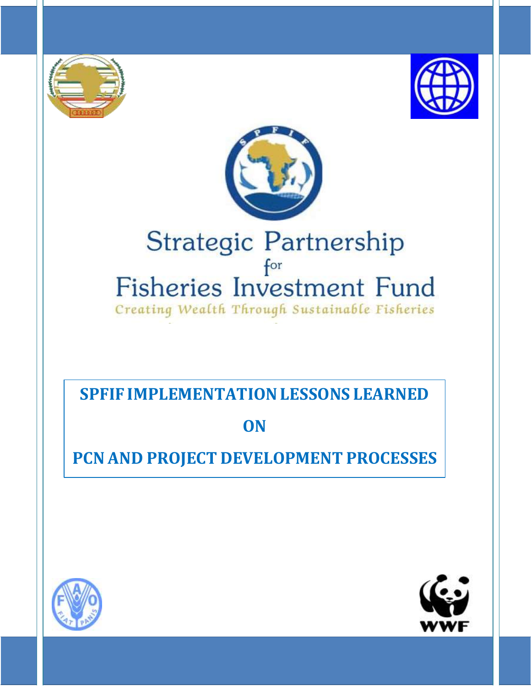





# Strategic Partnership for Fisheries Investment Fund Creating Wealth Through Sustainable Fisheries

# **SPFIF IMPLEMENTATIONLESSONS LEARNED**

# **ON**

# **PCN AND PROJECT DEVELOPMENT PROCESSES**



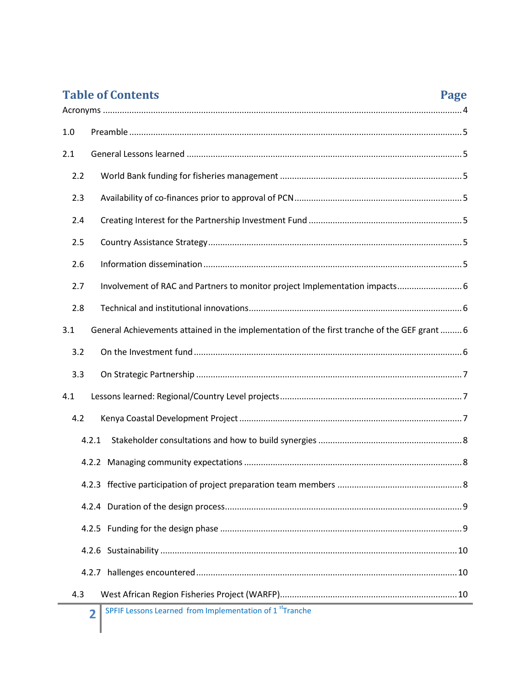| <b>Table of Contents</b><br>Page                                                                    |  |  |
|-----------------------------------------------------------------------------------------------------|--|--|
|                                                                                                     |  |  |
| 1.0                                                                                                 |  |  |
| 2.1                                                                                                 |  |  |
| 2.2                                                                                                 |  |  |
| 2.3                                                                                                 |  |  |
| 2.4                                                                                                 |  |  |
| 2.5                                                                                                 |  |  |
| 2.6                                                                                                 |  |  |
| 2.7<br>Involvement of RAC and Partners to monitor project Implementation impacts 6                  |  |  |
| 2.8                                                                                                 |  |  |
| General Achievements attained in the implementation of the first tranche of the GEF grant  6<br>3.1 |  |  |
| 3.2                                                                                                 |  |  |
| 3.3                                                                                                 |  |  |
| 4.1                                                                                                 |  |  |
| 4.2                                                                                                 |  |  |
| 4.2.1                                                                                               |  |  |
|                                                                                                     |  |  |
|                                                                                                     |  |  |
|                                                                                                     |  |  |
|                                                                                                     |  |  |
|                                                                                                     |  |  |
|                                                                                                     |  |  |
| 4.3                                                                                                 |  |  |
| SPEIF Lessons Learned from Implementation of 1 <sup>st</sup> Tranche                                |  |  |

**2 SPFIF Lessons Learned from Implementation of 1 <sup>st</sup>Tranche**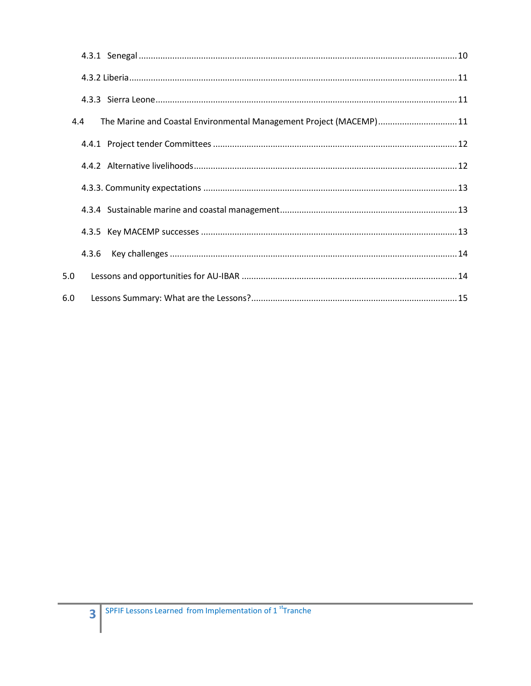| 4.4 | The Marine and Coastal Environmental Management Project (MACEMP) 11 |
|-----|---------------------------------------------------------------------|
|     |                                                                     |
|     |                                                                     |
|     |                                                                     |
|     |                                                                     |
|     |                                                                     |
|     |                                                                     |
| 5.0 |                                                                     |
| 6.0 |                                                                     |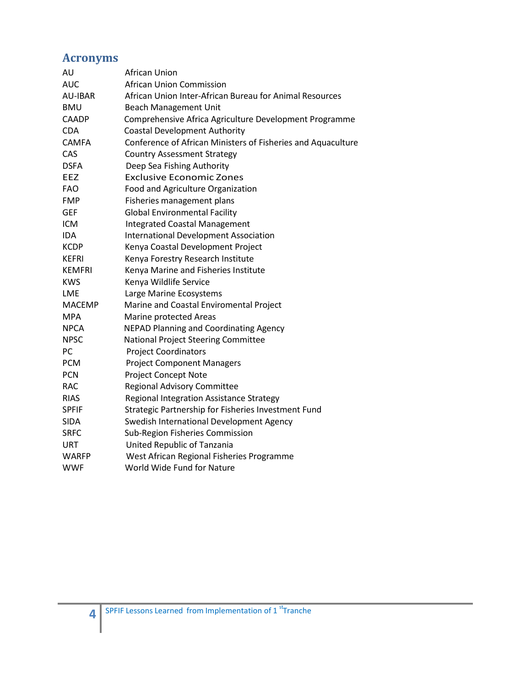# <span id="page-3-0"></span>**Acronyms**

| African Union                                                |
|--------------------------------------------------------------|
| <b>African Union Commission</b>                              |
| African Union Inter-African Bureau for Animal Resources      |
| <b>Beach Management Unit</b>                                 |
| Comprehensive Africa Agriculture Development Programme       |
| <b>Coastal Development Authority</b>                         |
| Conference of African Ministers of Fisheries and Aquaculture |
| <b>Country Assessment Strategy</b>                           |
| Deep Sea Fishing Authority                                   |
| <b>Exclusive Economic Zones</b>                              |
| Food and Agriculture Organization                            |
| Fisheries management plans                                   |
| <b>Global Environmental Facility</b>                         |
| <b>Integrated Coastal Management</b>                         |
| <b>International Development Association</b>                 |
| Kenya Coastal Development Project                            |
| Kenya Forestry Research Institute                            |
| Kenya Marine and Fisheries Institute                         |
| Kenya Wildlife Service                                       |
| Large Marine Ecosystems                                      |
| Marine and Coastal Enviromental Project                      |
| Marine protected Areas                                       |
| <b>NEPAD Planning and Coordinating Agency</b>                |
| National Project Steering Committee                          |
| <b>Project Coordinators</b>                                  |
| <b>Project Component Managers</b>                            |
| Project Concept Note                                         |
| <b>Regional Advisory Committee</b>                           |
| Regional Integration Assistance Strategy                     |
| Strategic Partnership for Fisheries Investment Fund          |
| Swedish International Development Agency                     |
| Sub-Region Fisheries Commission                              |
| United Republic of Tanzania                                  |
| West African Regional Fisheries Programme                    |
| World Wide Fund for Nature                                   |
|                                                              |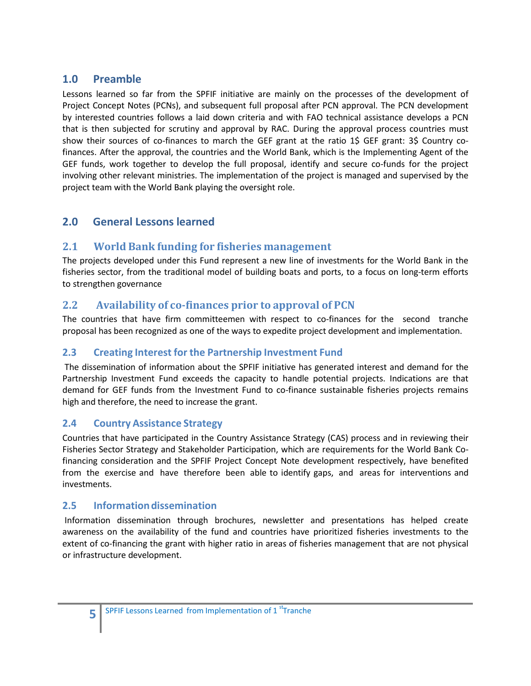# <span id="page-4-0"></span>**1.0 Preamble**

Lessons learned so far from the SPFIF initiative are mainly on the processes of the development of Project Concept Notes (PCNs), and subsequent full proposal after PCN approval. The PCN development by interested countries follows a laid down criteria and with FAO technical assistance develops a PCN that is then subjected for scrutiny and approval by RAC. During the approval process countries must show their sources of co-finances to march the GEF grant at the ratio 1\$ GEF grant: 3\$ Country cofinances. After the approval, the countries and the World Bank, which is the Implementing Agent of the GEF funds, work together to develop the full proposal, identify and secure co-funds for the project involving other relevant ministries. The implementation of the project is managed and supervised by the project team with the World Bank playing the oversight role.

# <span id="page-4-1"></span>**2.0 General Lessons learned**

# <span id="page-4-2"></span>**2.1 World Bank funding for fisheries management**

The projects developed under this Fund represent a new line of investments for the World Bank in the fisheries sector, from the traditional model of building boats and ports, to a focus on long-term efforts to strengthen governance

# <span id="page-4-3"></span>**2.2 Availability of co-finances prior to approval of PCN**

The countries that have firm committeemen with respect to co-finances for the second tranche proposal has been recognized as one of the ways to expedite project development and implementation.

# <span id="page-4-4"></span>**2.3 Creating Interest for the Partnership Investment Fund**

The dissemination of information about the SPFIF initiative has generated interest and demand for the Partnership Investment Fund exceeds the capacity to handle potential projects. Indications are that demand for GEF funds from the Investment Fund to co-finance sustainable fisheries projects remains high and therefore, the need to increase the grant.

### <span id="page-4-5"></span>**2.4 Country Assistance Strategy**

Countries that have participated in the Country Assistance Strategy (CAS) process and in reviewing their Fisheries Sector Strategy and Stakeholder Participation, which are requirements for the World Bank Cofinancing consideration and the SPFIF Project Concept Note development respectively, have benefited from the exercise and have therefore been able to identify gaps, and areas for interventions and investments.

### <span id="page-4-6"></span>**2.5** Information dissemination

Information dissemination through brochures, newsletter and presentations has helped create awareness on the availability of the fund and countries have prioritized fisheries investments to the extent of co-financing the grant with higher ratio in areas of fisheries management that are not physical or infrastructure development.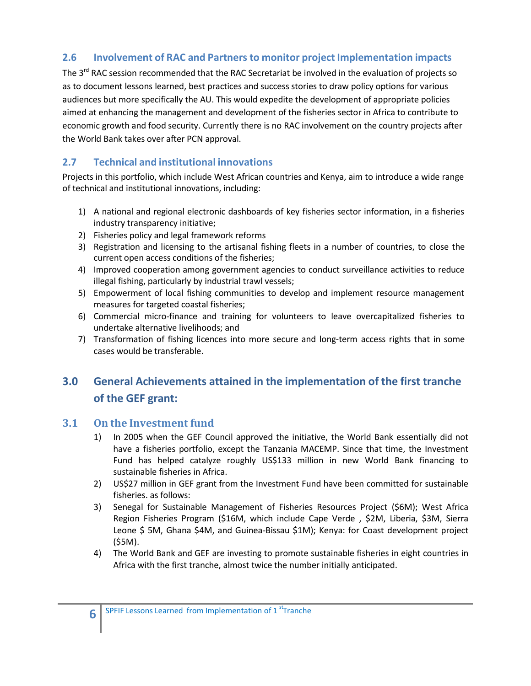# **2.6 Involvement of RAC and Partners to monitor project Implementation impacts**

The 3<sup>rd</sup> RAC session recommended that the RAC Secretariat be involved in the evaluation of projects so as to document lessons learned, best practices and success stories to draw policy options for various audiences but more specifically the AU. This would expedite the development of appropriate policies aimed at enhancing the management and development of the fisheries sector in Africa to contribute to economic growth and food security. Currently there is no RAC involvement on the country projects after the World Bank takes over after PCN approval.

# <span id="page-5-0"></span>**2.7 Technical and institutional innovations**

Projects in this portfolio, which include West African countries and Kenya, aim to introduce a wide range of technical and institutional innovations, including:

- 1) A national and regional electronic dashboards of key fisheries sector information, in a fisheries industry transparency initiative;
- 2) Fisheries policy and legal framework reforms
- 3) Registration and licensing to the artisanal fishing fleets in a number of countries, to close the current open access conditions of the fisheries;
- 4) Improved cooperation among government agencies to conduct surveillance activities to reduce illegal fishing, particularly by industrial trawl vessels;
- 5) Empowerment of local fishing communities to develop and implement resource management measures for targeted coastal fisheries;
- 6) Commercial micro-finance and training for volunteers to leave overcapitalized fisheries to undertake alternative livelihoods; and
- 7) Transformation of fishing licences into more secure and long-term access rights that in some cases would be transferable.

# <span id="page-5-1"></span>**3.0 General Achievements attained in the implementation of the first tranche of the GEF grant:**

# <span id="page-5-2"></span>**3.1 On the Investment fund**

- 1) In 2005 when the GEF Council approved the initiative, the World Bank essentially did not have a fisheries portfolio, except the Tanzania MACEMP. Since that time, the Investment Fund has helped catalyze roughly US\$133 million in new World Bank financing to sustainable fisheries in Africa.
- 2) US\$27 million in GEF grant from the Investment Fund have been committed for sustainable fisheries. as follows:
- 3) Senegal for Sustainable Management of Fisheries Resources Project (\$6M); West Africa Region Fisheries Program (\$16M, which include Cape Verde , \$2M, Liberia, \$3M, Sierra Leone \$ 5M, Ghana \$4M, and Guinea-Bissau \$1M); Kenya: for Coast development project (\$5M).
- 4) The World Bank and GEF are investing to promote sustainable fisheries in eight countries in Africa with the first tranche, almost twice the number initially anticipated.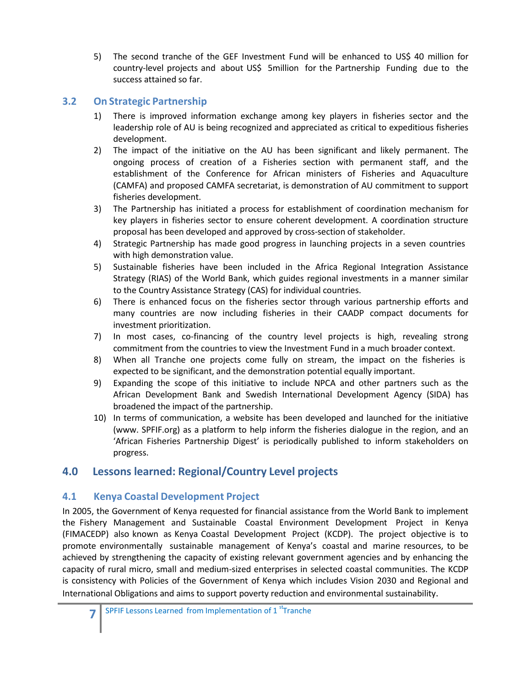5) The second tranche of the GEF Investment Fund will be enhanced to US\$ 40 million for country-level projects and about US\$ 5million for the Partnership Funding due to the success attained so far.

### <span id="page-6-0"></span>**3.2 On Strategic Partnership**

- 1) There is improved information exchange among key players in fisheries sector and the leadership role of AU is being recognized and appreciated as critical to expeditious fisheries development.
- 2) The impact of the initiative on the AU has been significant and likely permanent. The ongoing process of creation of a Fisheries section with permanent staff, and the establishment of the Conference for African ministers of Fisheries and Aquaculture (CAMFA) and proposed CAMFA secretariat, is demonstration of AU commitment to support fisheries development.
- 3) The Partnership has initiated a process for establishment of coordination mechanism for key players in fisheries sector to ensure coherent development. A coordination structure proposal has been developed and approved by cross-section of stakeholder.
- 4) Strategic Partnership has made good progress in launching projects in a seven countries with high demonstration value.
- 5) Sustainable fisheries have been included in the Africa Regional Integration Assistance Strategy (RIAS) of the World Bank, which guides regional investments in a manner similar to the Country Assistance Strategy (CAS) for individual countries.
- 6) There is enhanced focus on the fisheries sector through various partnership efforts and many countries are now including fisheries in their CAADP compact documents for investment prioritization.
- 7) In most cases, co-financing of the country level projects is high, revealing strong commitment from the countries to view the Investment Fund in a much broader context.
- 8) When all Tranche one projects come fully on stream, the impact on the fisheries is expected to be significant, and the demonstration potential equally important.
- 9) Expanding the scope of this initiative to include NPCA and other partners such as the African Development Bank and Swedish International Development Agency (SIDA) has broadened the impact of the partnership.
- 10) In terms of communication, a website has been developed and launched for the initiativ[e](http://www/) [\(www.](http://www/) SPFIF.org) as a platform to help inform the fisheries dialogue in the region, and an 'African Fisheries Partnership Digest' is periodically published to inform stakeholders on progress.

# <span id="page-6-1"></span>**4.0 Lessons learned: Regional/Country Level projects**

# <span id="page-6-2"></span>**4.1 Kenya Coastal Development Project**

In 2005, the Government of Kenya requested for financial assistance from the World Bank to implement the Fishery Management and Sustainable Coastal Environment Development Project in Kenya (FIMACEDP) also known as Kenya Coastal Development Project (KCDP). The project objective is to promote environmentally sustainable management of Kenya's coastal and marine resources, to be achieved by strengthening the capacity of existing relevant government agencies and by enhancing the capacity of rural micro, small and medium-sized enterprises in selected coastal communities. The KCDP is consistency with Policies of the Government of Kenya which includes Vision 2030 and Regional and International Obligations and aims to support poverty reduction and environmental sustainability.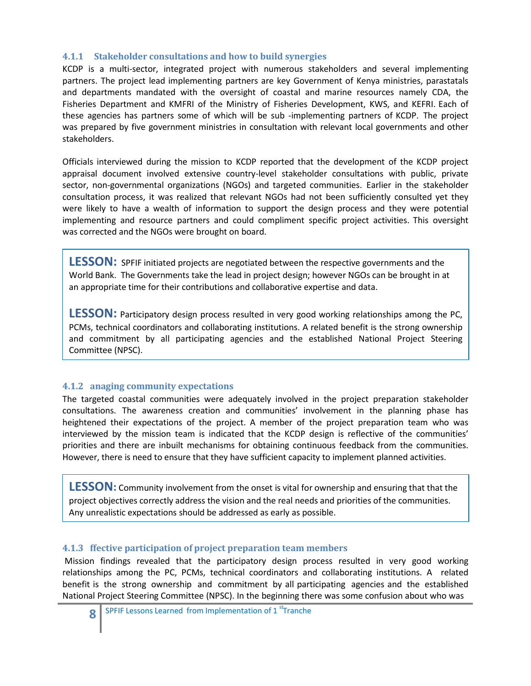#### <span id="page-7-0"></span>**4.1.1 Stakeholder consultations and how to build synergies**

KCDP is a multi-sector, integrated project with numerous stakeholders and several implementing partners. The project lead implementing partners are key Government of Kenya ministries, parastatals and departments mandated with the oversight of coastal and marine resources namely CDA, the Fisheries Department and KMFRI of the Ministry of Fisheries Development, KWS, and KEFRI. Each of these agencies has partners some of which will be sub -implementing partners of KCDP. The project was prepared by five government ministries in consultation with relevant local governments and other stakeholders.

Officials interviewed during the mission to KCDP reported that the development of the KCDP project appraisal document involved extensive country-level stakeholder consultations with public, private sector, non-governmental organizations (NGOs) and targeted communities. Earlier in the stakeholder consultation process, it was realized that relevant NGOs had not been sufficiently consulted yet they were likely to have a wealth of information to support the design process and they were potential implementing and resource partners and could compliment specific project activities. This oversight was corrected and the NGOs were brought on board.

LESSON: SPFIF initiated projects are negotiated between the respective governments and the World Bank. The Governments take the lead in project design; however NGOs can be brought in at an appropriate time for their contributions and collaborative expertise and data.

**LESSON:** Participatory design process resulted in very good working relationships among the PC, PCMs, technical coordinators and collaborating institutions. A related benefit is the strong ownership and commitment by all participating agencies and the established National Project Steering Committee (NPSC).

#### **4.1.2 anaging community expectations**

The targeted coastal communities were adequately involved in the project preparation stakeholder consultations. The awareness creation and communities' involvement in the planning phase has heightened their expectations of the project. A member of the project preparation team who was interviewed by the mission team is indicated that the KCDP design is reflective of the communities' priorities and there are inbuilt mechanisms for obtaining continuous feedback from the communities. However, there is need to ensure that they have sufficient capacity to implement planned activities.

**LESSON:** Community involvement from the onset is vital for ownership and ensuring that that the project objectives correctly address the vision and the real needs and priorities of the communities. Any unrealistic expectations should be addressed as early as possible.

#### **4.1.3 ffective participation of project preparation team members**

Mission findings revealed that the participatory design process resulted in very good working relationships among the PC, PCMs, technical coordinators and collaborating institutions. A related benefit is the strong ownership and commitment by all participating agencies and the established National Project Steering Committee (NPSC). In the beginning there was some confusion about who was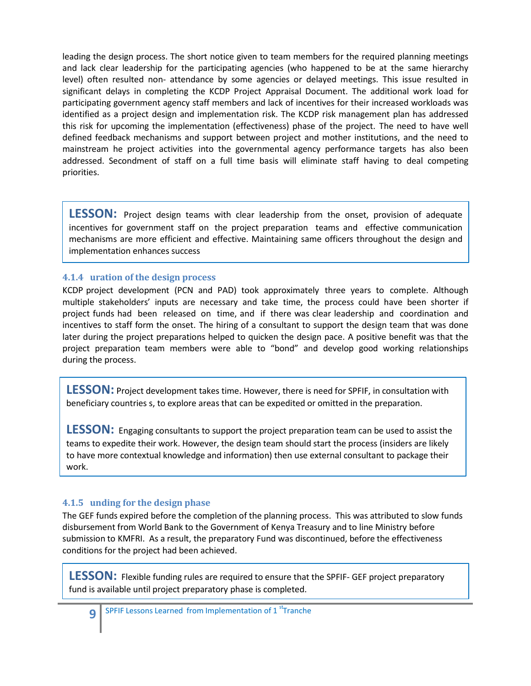leading the design process. The short notice given to team members for the required planning meetings and lack clear leadership for the participating agencies (who happened to be at the same hierarchy level) often resulted non- attendance by some agencies or delayed meetings. This issue resulted in significant delays in completing the KCDP Project Appraisal Document. The additional work load for participating government agency staff members and lack of incentives for their increased workloads was identified as a project design and implementation risk. The KCDP risk management plan has addressed this risk for upcoming the implementation (effectiveness) phase of the project. The need to have well defined feedback mechanisms and support between project and mother institutions, and the need to mainstream he project activities into the governmental agency performance targets has also been addressed. Secondment of staff on a full time basis will eliminate staff having to deal competing priorities.

LESSON: Project design teams with clear leadership from the onset, provision of adequate incentives for government staff on the project preparation teams and effective communication mechanisms are more efficient and effective. Maintaining same officers throughout the design and implementation enhances success

#### **4.1.4 uration of the design process**

KCDP project development (PCN and PAD) took approximately three years to complete. Although multiple stakeholders' inputs are necessary and take time, the process could have been shorter if project funds had been released on time, and if there was clear leadership and coordination and incentives to staff form the onset. The hiring of a consultant to support the design team that was done later during the project preparations helped to quicken the design pace. A positive benefit was that the project preparation team members were able to "bond" and develop good working relationships during the process.

**LESSON:** Project development takes time. However, there is need for SPFIF, in consultation with beneficiary countries s, to explore areas that can be expedited or omitted in the preparation.

**LESSON:** Engaging consultants to support the project preparation team can be used to assist the teams to expedite their work. However, the design team should start the process (insiders are likely to have more contextual knowledge and information) then use external consultant to package their work.

#### **4.1.5 unding for the design phase**

The GEF funds expired before the completion of the planning process. This was attributed to slow funds disbursement from World Bank to the Government of Kenya Treasury and to line Ministry before submission to KMFRI. As a result, the preparatory Fund was discontinued, before the effectiveness conditions for the project had been achieved.

**LESSON:** Flexible funding rules are required to ensure that the SPFIF- GEF project preparatory fund is available until project preparatory phase is completed.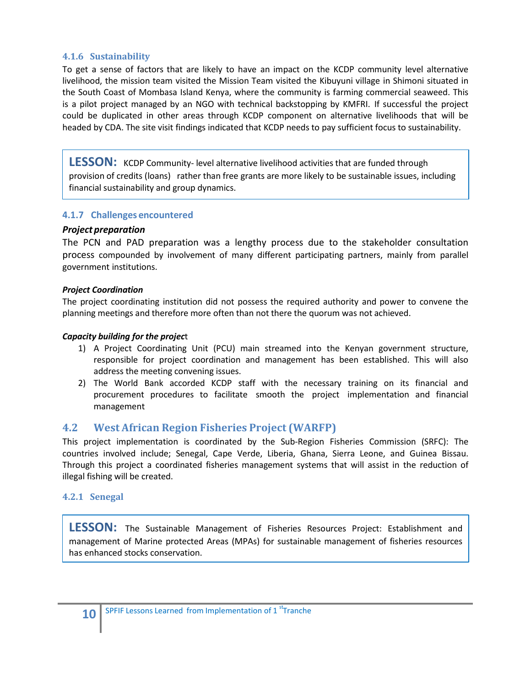#### <span id="page-9-0"></span>**4.1.6 Sustainability**

To get a sense of factors that are likely to have an impact on the KCDP community level alternative livelihood, the mission team visited the Mission Team visited the Kibuyuni village in Shimoni situated in the South Coast of Mombasa Island Kenya, where the community is farming commercial seaweed. This is a pilot project managed by an NGO with technical backstopping by KMFRI. If successful the project could be duplicated in other areas through KCDP component on alternative livelihoods that will be headed by CDA. The site visit findings indicated that KCDP needs to pay sufficient focus to sustainability.

**LESSON:** KCDP Community- level alternative livelihood activities that are funded through provision of credits (loans) rather than free grants are more likely to be sustainable issues, including financial sustainability and group dynamics.

#### **4.1.7 Challenges encountered**

#### *Project preparation*

The PCN and PAD preparation was a lengthy process due to the stakeholder consultation process compounded by involvement of many different participating partners, mainly from parallel government institutions.

#### *Project Coordination*

The project coordinating institution did not possess the required authority and power to convene the planning meetings and therefore more often than not there the quorum was not achieved.

#### *Capacity building for the projec*t

- 1) A Project Coordinating Unit (PCU) main streamed into the Kenyan government structure, responsible for project coordination and management has been established. This will also address the meeting convening issues.
- 2) The World Bank accorded KCDP staff with the necessary training on its financial and procurement procedures to facilitate smooth the project implementation and financial management

#### <span id="page-9-1"></span>**4.2 West African Region Fisheries Project (WARFP)**

This project implementation is coordinated by the Sub-Region Fisheries Commission (SRFC): The countries involved include; Senegal, Cape Verde, Liberia, Ghana, Sierra Leone, and Guinea Bissau. Through this project a coordinated fisheries management systems that will assist in the reduction of illegal fishing will be created.

#### <span id="page-9-2"></span>**4.2.1 Senegal**

**LESSON:** The Sustainable Management of Fisheries Resources Project: Establishment and management of Marine protected Areas (MPAs) for sustainable management of fisheries resources has enhanced stocks conservation.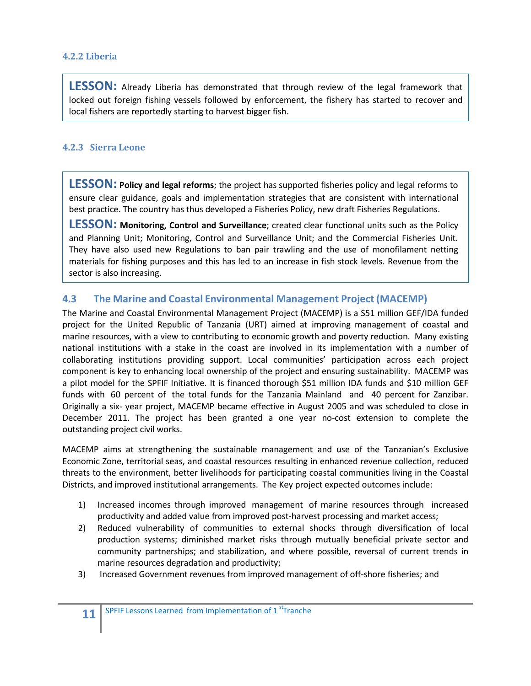#### <span id="page-10-0"></span>**4.2.2 Liberia**

**LESSON:** Already Liberia has demonstrated that through review of the legal framework that locked out foreign fishing vessels followed by enforcement, the fishery has started to recover and local fishers are reportedly starting to harvest bigger fish.

#### <span id="page-10-1"></span>**4.2.3 Sierra Leone**

**LESSON: Policy and legal reforms**; the project has supported fisheries policy and legal reforms to ensure clear guidance, goals and implementation strategies that are consistent with international best practice. The country has thus developed a Fisheries Policy, new draft Fisheries Regulations.

**LESSON: Monitoring, Control and Surveillance**; created clear functional units such as the Policy and Planning Unit; Monitoring, Control and Surveillance Unit; and the Commercial Fisheries Unit. They have also used new Regulations to ban pair trawling and the use of monofilament netting materials for fishing purposes and this has led to an increase in fish stock levels. Revenue from the sector is also increasing.

### <span id="page-10-2"></span>**4.3 The Marine and Coastal Environmental Management Project (MACEMP)**

The Marine and Coastal Environmental Management Project (MACEMP) is a S51 million GEF/IDA funded project for the United Republic of Tanzania (URT) aimed at improving management of coastal and marine resources, with a view to contributing to economic growth and poverty reduction. Many existing national institutions with a stake in the coast are involved in its implementation with a number of collaborating institutions providing support. Local communities' participation across each project component is key to enhancing local ownership of the project and ensuring sustainability. MACEMP was a pilot model for the SPFIF Initiative. It is financed thorough \$51 million IDA funds and \$10 million GEF funds with 60 percent of the total funds for the Tanzania Mainland and 40 percent for Zanzibar. Originally a six- year project, MACEMP became effective in August 2005 and was scheduled to close in December 2011. The project has been granted a one year no-cost extension to complete the outstanding project civil works.

MACEMP aims at strengthening the sustainable management and use of the Tanzanian's Exclusive Economic Zone, territorial seas, and coastal resources resulting in enhanced revenue collection, reduced threats to the environment, better livelihoods for participating coastal communities living in the Coastal Districts, and improved institutional arrangements. The Key project expected outcomes include:

- 1) Increased incomes through improved management of marine resources through increased productivity and added value from improved post-harvest processing and market access;
- 2) Reduced vulnerability of communities to external shocks through diversification of local production systems; diminished market risks through mutually beneficial private sector and community partnerships; and stabilization, and where possible, reversal of current trends in marine resources degradation and productivity;
- 3) Increased Government revenues from improved management of off-shore fisheries; and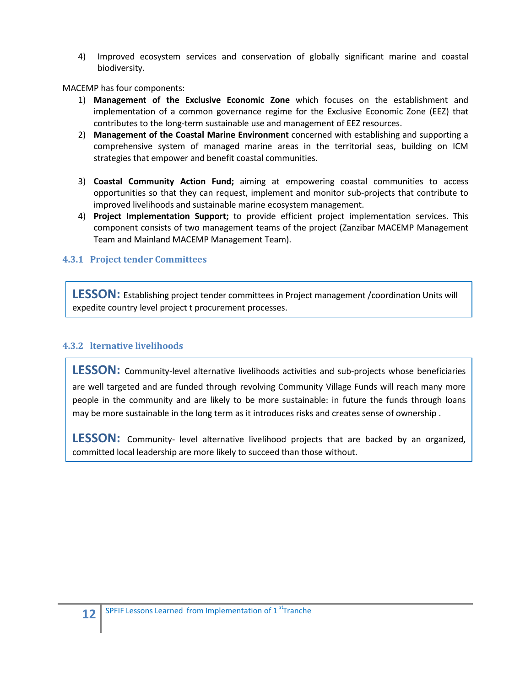4) Improved ecosystem services and conservation of globally significant marine and coastal biodiversity.

MACEMP has four components:

- 1) **Management of the Exclusive Economic Zone** which focuses on the establishment and implementation of a common governance regime for the Exclusive Economic Zone (EEZ) that contributes to the long-term sustainable use and management of EEZ resources.
- 2) **Management of the Coastal Marine Environment** concerned with establishing and supporting a comprehensive system of managed marine areas in the territorial seas, building on ICM strategies that empower and benefit coastal communities.
- 3) **Coastal Community Action Fund;** aiming at empowering coastal communities to access opportunities so that they can request, implement and monitor sub-projects that contribute to improved livelihoods and sustainable marine ecosystem management.
- 4) **Project Implementation Support;** to provide efficient project implementation services. This component consists of two management teams of the project (Zanzibar MACEMP Management Team and Mainland MACEMP Management Team).

#### <span id="page-11-0"></span>**4.3.1 Project tender Committees**

**LESSON:** Establishing project tender committees in Project management /coordination Units will expedite country level project t procurement processes.

#### **4.3.2 lternative livelihoods**

**LESSON:** Community-level alternative livelihoods activities and sub-projects whose beneficiaries are well targeted and are funded through revolving Community Village Funds will reach many more people in the community and are likely to be more sustainable: in future the funds through loans may be more sustainable in the long term as it introduces risks and creates sense of ownership .

**LESSON:** Community- level alternative livelihood projects that are backed by an organized, committed local leadership are more likely to succeed than those without.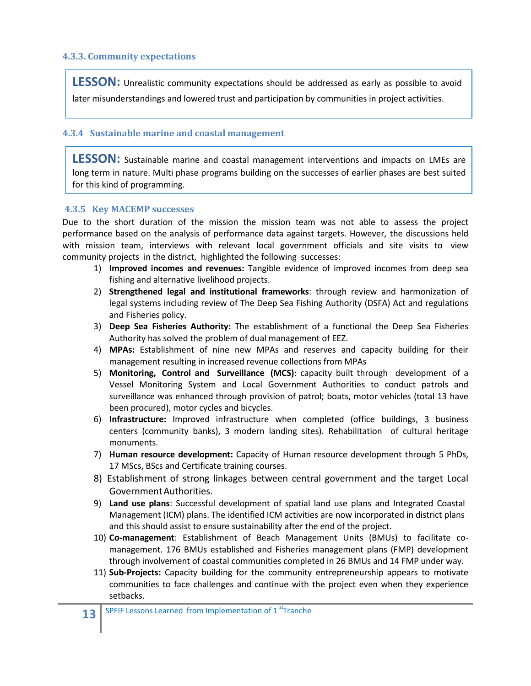#### <span id="page-12-0"></span>**4.3.3. Community expectations**

**LESSON:** Unrealistic community expectations should be addressed as early as possible to avoid later misunderstandings and lowered trust and participation by communities in project activities.

#### <span id="page-12-1"></span>**4.3.4 Sustainable marine and coastal management**

**LESSON:** Sustainable marine and coastal management interventions and impacts on LMEs are long term in nature. Multi phase programs building on the successes of earlier phases are best suited for this kind of programming.

#### <span id="page-12-2"></span>**4.3.5 Key MACEMP successes**

Due to the short duration of the mission the mission team was not able to assess the project performance based on the analysis of performance data against targets. However, the discussions held with mission team, interviews with relevant local government officials and site visits to view community projects in the district, highlighted the following successes:

- 1) **Improved incomes and revenues:** Tangible evidence of improved incomes from deep sea fishing and alternative livelihood projects.
- 2) **Strengthened legal and institutional frameworks**: through review and harmonization of legal systems including review of The Deep Sea Fishing Authority (DSFA) Act and regulations and Fisheries policy.
- 3) **Deep Sea Fisheries Authority:** The establishment of a functional the Deep Sea Fisheries Authority has solved the problem of dual management of EEZ.
- 4) **MPAs:** Establishment of nine new MPAs and reserves and capacity building for their management resulting in increased revenue collections from MPAs
- 5) **Monitoring, Control and Surveillance (MCS)**: capacity built through development of a Vessel Monitoring System and Local Government Authorities to conduct patrols and surveillance was enhanced through provision of patrol; boats, motor vehicles (total 13 have been procured), motor cycles and bicycles.
- 6) **Infrastructure:** Improved infrastructure when completed (office buildings, 3 business centers (community banks), 3 modern landing sites). Rehabilitation of cultural heritage monuments.
- 7) **Human resource development:** Capacity of Human resource development through 5 PhDs, 17 MScs, BScs and Certificate training courses.
- 8) Establishment of strong linkages between central government and the target Local GovernmentAuthorities.
- 9) **Land use plans**: Successful development of spatial land use plans and Integrated Coastal Management (ICM) plans. The identified ICM activities are now incorporated in district plans and this should assist to ensure sustainability after the end of the project.
- 10) **Co-management**: Establishment of Beach Management Units (BMUs) to facilitate comanagement. 176 BMUs established and Fisheries management plans (FMP) development through involvement of coastal communities completed in 26 BMUs and 14 FMP under way.
- 11) **Sub-Projects:** Capacity building for the community entrepreneurship appears to motivate communities to face challenges and continue with the project even when they experience setbacks.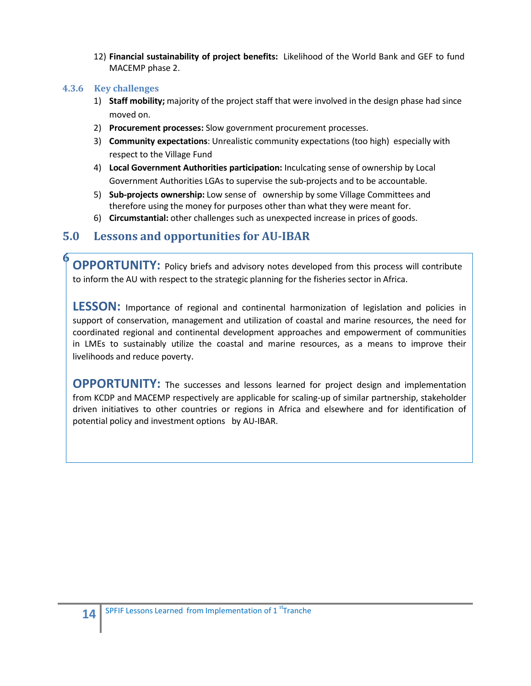12) **Financial sustainability of project benefits:** Likelihood of the World Bank and GEF to fund MACEMP phase 2.

#### <span id="page-13-0"></span>**4.3.6 Key challenges**

**6**

- 1) **Staff mobility;** majority of the project staff that were involved in the design phase had since moved on.
- 2) **Procurement processes:** Slow government procurement processes.
- 3) **Community expectations**: Unrealistic community expectations (too high) especially with respect to the Village Fund
- 4) **Local Government Authorities participation:** Inculcating sense of ownership by Local Government Authorities LGAs to supervise the sub-projects and to be accountable.
- 5) **Sub-projects ownership:** Low sense of ownership by some Village Committees and therefore using the money for purposes other than what they were meant for.
- 6) **Circumstantial:** other challenges such as unexpected increase in prices of goods.

# <span id="page-13-1"></span>**5.0 Lessons and opportunities for AU-IBAR**

**.0 OPPORTUNITY:** Policy briefs and advisory notes developed from this process will contribute to inform the AU with respect to the strategic planning for the fisheries sector in Africa.

**LESSON:** Importance of regional and continental harmonization of legislation and policies in support of conservation, management and utilization of coastal and marine resources, the need for coordinated regional and continental development approaches and empowerment of communities in LMEs to sustainably utilize the coastal and marine resources, as a means to improve their livelihoods and reduce poverty.

**OPPORTUNITY:** The successes and lessons learned for project design and implementation from KCDP and MACEMP respectively are applicable for scaling-up of similar partnership, stakeholder driven initiatives to other countries or regions in Africa and elsewhere and for identification of potential policy and investment options by AU-IBAR.